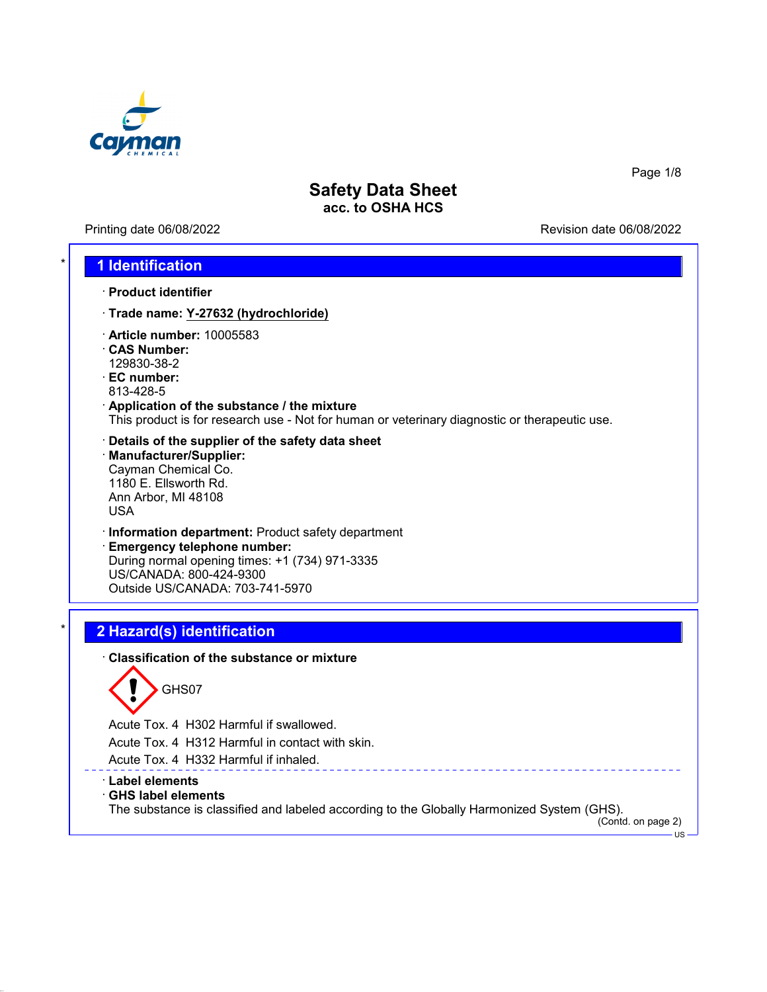

Printing date 06/08/2022 **Printing date 06/08/2022** 

Page 1/8

### \* **1 Identification**

- · **Product identifier**
- · **Trade name: Y-27632 (hydrochloride)**
- · **Article number:** 10005583
- · **CAS Number:** 129830-38-2
- · **EC number:** 813-428-5
- · **Application of the substance / the mixture** This product is for research use - Not for human or veterinary diagnostic or therapeutic use.
- · **Details of the supplier of the safety data sheet** · **Manufacturer/Supplier:** Cayman Chemical Co. 1180 E. Ellsworth Rd. Ann Arbor, MI 48108 USA
- · **Information department:** Product safety department
- · **Emergency telephone number:** During normal opening times: +1 (734) 971-3335 US/CANADA: 800-424-9300 Outside US/CANADA: 703-741-5970

# \* **2 Hazard(s) identification**

· **Classification of the substance or mixture**



Acute Tox. 4 H302 Harmful if swallowed.

Acute Tox. 4 H312 Harmful in contact with skin.

Acute Tox. 4 H332 Harmful if inhaled.

#### · **Label elements**

#### · **GHS label elements**

The substance is classified and labeled according to the Globally Harmonized System (GHS).

<u>\_\_\_\_\_\_\_\_\_\_\_\_</u>

(Contd. on page 2)

US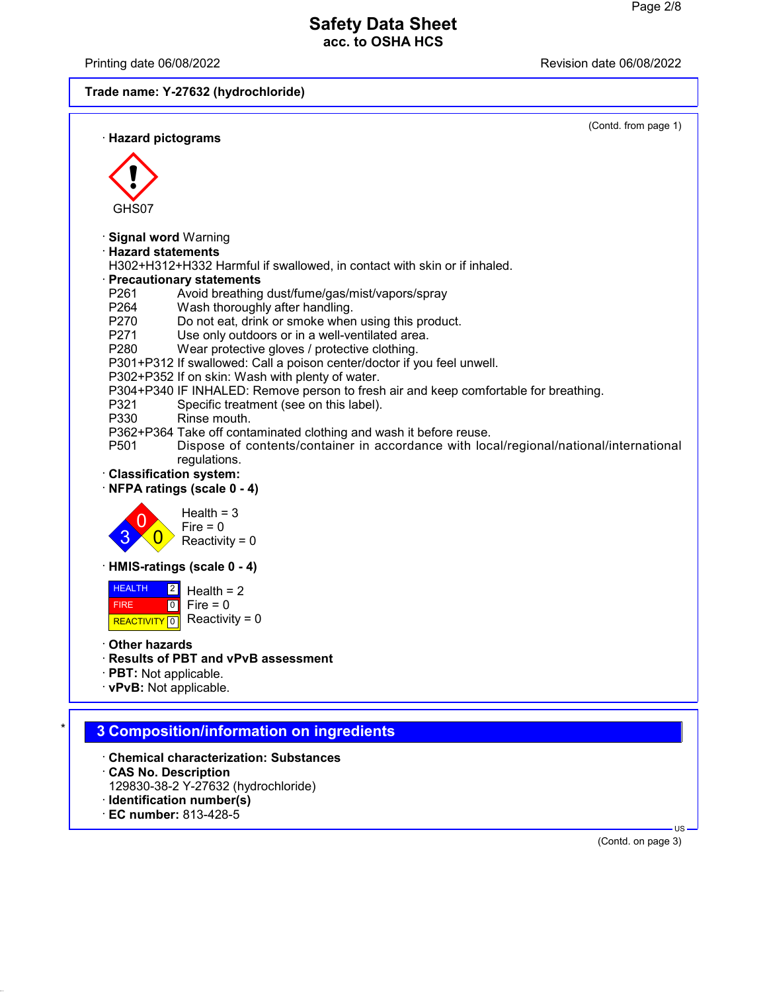Printing date 06/08/2022 Revision date 06/08/2022

**Trade name: Y-27632 (hydrochloride)**



- · **CAS No. Description**
- 129830-38-2 Y-27632 (hydrochloride)
- · **Identification number(s)**
- · **EC number:** 813-428-5

(Contd. on page 3)

US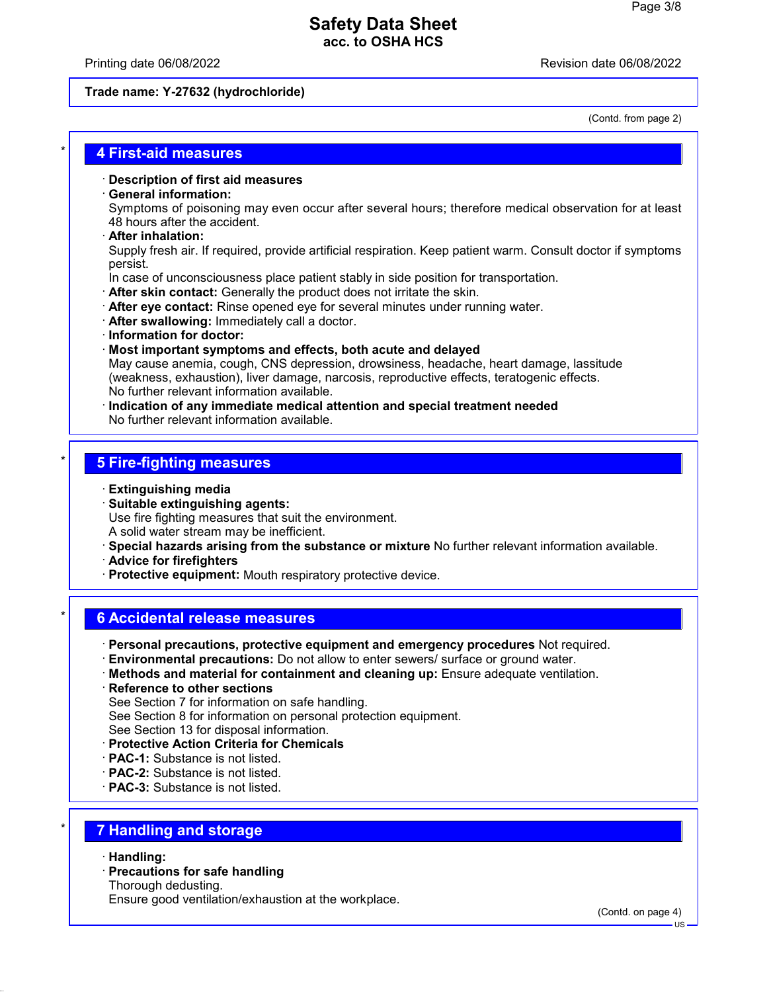#### Printing date 06/08/2022 Revision date 06/08/2022

#### **Trade name: Y-27632 (hydrochloride)**

(Contd. from page 2)

### \* **4 First-aid measures**

#### · **Description of first aid measures**

#### · **General information:**

Symptoms of poisoning may even occur after several hours; therefore medical observation for at least 48 hours after the accident.

· **After inhalation:**

Supply fresh air. If required, provide artificial respiration. Keep patient warm. Consult doctor if symptoms persist.

In case of unconsciousness place patient stably in side position for transportation.

- · **After skin contact:** Generally the product does not irritate the skin.
- · **After eye contact:** Rinse opened eye for several minutes under running water.
- · **After swallowing:** Immediately call a doctor.
- · **Information for doctor:**
- · **Most important symptoms and effects, both acute and delayed** May cause anemia, cough, CNS depression, drowsiness, headache, heart damage, lassitude (weakness, exhaustion), liver damage, narcosis, reproductive effects, teratogenic effects. No further relevant information available.
- · **Indication of any immediate medical attention and special treatment needed** No further relevant information available.

### \* **5 Fire-fighting measures**

- · **Extinguishing media**
- · **Suitable extinguishing agents:** Use fire fighting measures that suit the environment. A solid water stream may be inefficient.
- · **Special hazards arising from the substance or mixture** No further relevant information available.
- · **Advice for firefighters**
- · **Protective equipment:** Mouth respiratory protective device.

### \* **6 Accidental release measures**

- · **Personal precautions, protective equipment and emergency procedures** Not required.
- · **Environmental precautions:** Do not allow to enter sewers/ surface or ground water.
- · **Methods and material for containment and cleaning up:** Ensure adequate ventilation.
- · **Reference to other sections** See Section 7 for information on safe handling. See Section 8 for information on personal protection equipment. See Section 13 for disposal information.

### · **Protective Action Criteria for Chemicals**

- · **PAC-1:** Substance is not listed.
- · **PAC-2:** Substance is not listed.
- · **PAC-3:** Substance is not listed.

### \* **7 Handling and storage**

- · **Handling:**
- · **Precautions for safe handling**

Thorough dedusting.

Ensure good ventilation/exhaustion at the workplace.

(Contd. on page 4)

US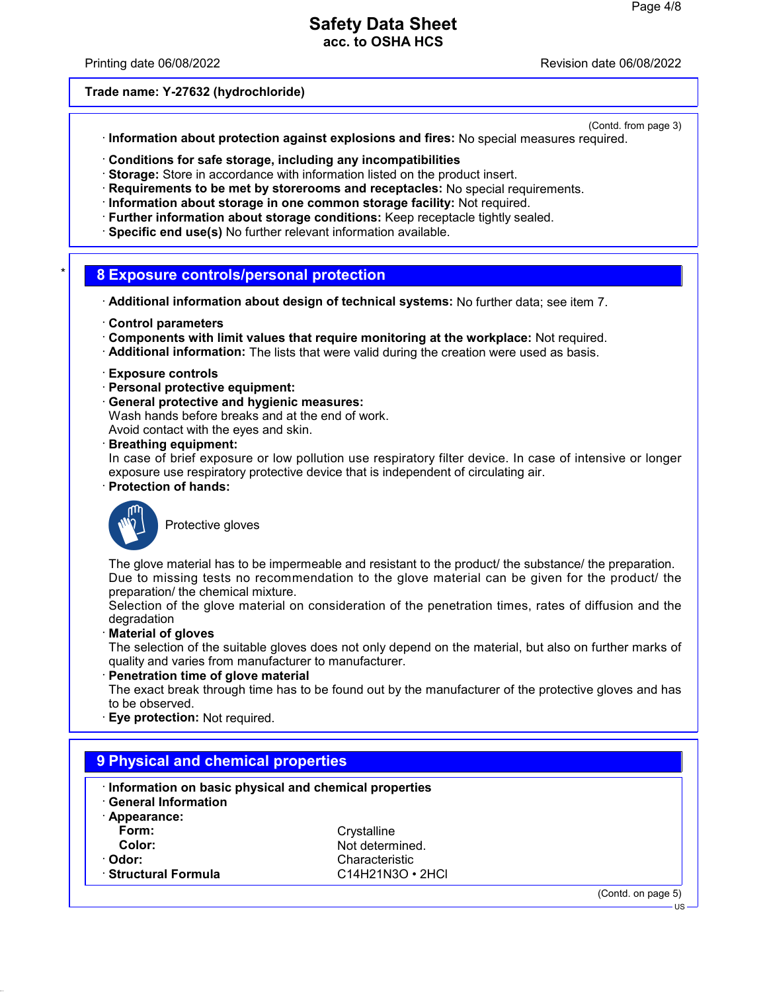Printing date 06/08/2022 Revision date 06/08/2022

#### **Trade name: Y-27632 (hydrochloride)**

(Contd. from page 3)

- · **Information about protection against explosions and fires:** No special measures required.
- · **Conditions for safe storage, including any incompatibilities**
- · **Storage:** Store in accordance with information listed on the product insert.
- · **Requirements to be met by storerooms and receptacles:** No special requirements.
- · **Information about storage in one common storage facility:** Not required.
- · **Further information about storage conditions:** Keep receptacle tightly sealed.
- · **Specific end use(s)** No further relevant information available.

### \* **8 Exposure controls/personal protection**

- · **Additional information about design of technical systems:** No further data; see item 7.
- · **Control parameters**
- · **Components with limit values that require monitoring at the workplace:** Not required.
- · **Additional information:** The lists that were valid during the creation were used as basis.
- · **Exposure controls**
- · **Personal protective equipment:**
- · **General protective and hygienic measures:**
- Wash hands before breaks and at the end of work. Avoid contact with the eyes and skin.
- · **Breathing equipment:**

In case of brief exposure or low pollution use respiratory filter device. In case of intensive or longer exposure use respiratory protective device that is independent of circulating air.

· **Protection of hands:**



Protective gloves

The glove material has to be impermeable and resistant to the product/ the substance/ the preparation. Due to missing tests no recommendation to the glove material can be given for the product/ the preparation/ the chemical mixture.

Selection of the glove material on consideration of the penetration times, rates of diffusion and the degradation

· **Material of gloves**

The selection of the suitable gloves does not only depend on the material, but also on further marks of quality and varies from manufacturer to manufacturer.

**Penetration time of glove material** 

The exact break through time has to be found out by the manufacturer of the protective gloves and has to be observed.

**Eye protection: Not required.** 

| Information on basic physical and chemical properties<br><b>General Information</b> |                        |  |  |  |
|-------------------------------------------------------------------------------------|------------------------|--|--|--|
| Appearance:                                                                         |                        |  |  |  |
| Form:                                                                               | Crystalline            |  |  |  |
| Color:                                                                              | Not determined.        |  |  |  |
| · Odor:                                                                             | Characteristic         |  |  |  |
| <b>Structural Formula</b>                                                           | $C14H21N3O \cdot 2HCl$ |  |  |  |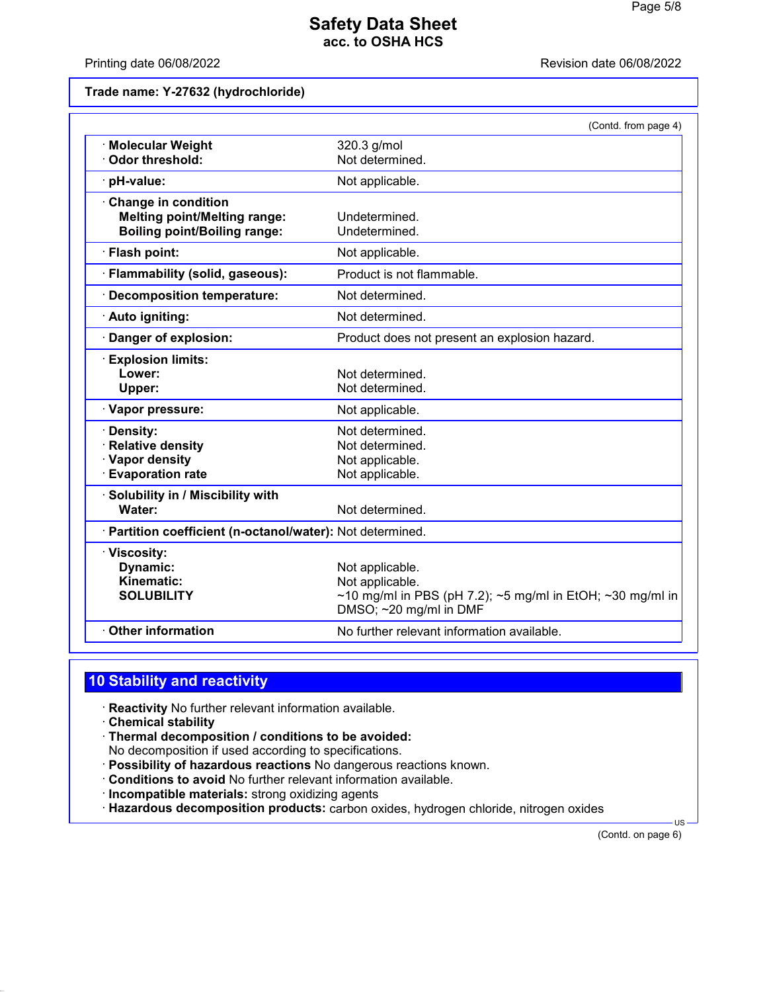Printing date 06/08/2022 **Printing date 06/08/2022** 

**Trade name: Y-27632 (hydrochloride)**

|                                                                                                   | (Contd. from page 4)                                                                                                      |
|---------------------------------------------------------------------------------------------------|---------------------------------------------------------------------------------------------------------------------------|
| · Molecular Weight<br>Odor threshold:                                                             | 320.3 g/mol<br>Not determined.                                                                                            |
| · pH-value:                                                                                       | Not applicable.                                                                                                           |
| Change in condition<br><b>Melting point/Melting range:</b><br><b>Boiling point/Boiling range:</b> | Undetermined.<br>Undetermined.                                                                                            |
| · Flash point:                                                                                    | Not applicable.                                                                                                           |
| · Flammability (solid, gaseous):                                                                  | Product is not flammable.                                                                                                 |
| · Decomposition temperature:                                                                      | Not determined.                                                                                                           |
| · Auto igniting:                                                                                  | Not determined.                                                                                                           |
| Danger of explosion:                                                                              | Product does not present an explosion hazard.                                                                             |
| <b>Explosion limits:</b><br>Lower:<br>Upper:                                                      | Not determined.<br>Not determined.                                                                                        |
| · Vapor pressure:                                                                                 | Not applicable.                                                                                                           |
| Density:<br><b>Relative density</b><br>· Vapor density<br><b>Evaporation rate</b>                 | Not determined.<br>Not determined.<br>Not applicable.<br>Not applicable.                                                  |
| · Solubility in / Miscibility with<br>Water:                                                      | Not determined.                                                                                                           |
| · Partition coefficient (n-octanol/water): Not determined.                                        |                                                                                                                           |
| · Viscosity:<br>Dynamic:<br>Kinematic:<br><b>SOLUBILITY</b>                                       | Not applicable.<br>Not applicable.<br>~10 mg/ml in PBS (pH 7.2); ~5 mg/ml in EtOH; ~30 mg/ml in<br>DMSO; ~20 mg/ml in DMF |
| Other information                                                                                 | No further relevant information available.                                                                                |
|                                                                                                   |                                                                                                                           |

## **10 Stability and reactivity**

· **Reactivity** No further relevant information available.

- · **Chemical stability**
- · **Thermal decomposition / conditions to be avoided:** No decomposition if used according to specifications.
- · **Possibility of hazardous reactions** No dangerous reactions known.
- · **Conditions to avoid** No further relevant information available.
- · **Incompatible materials:** strong oxidizing agents
- · **Hazardous decomposition products:** carbon oxides, hydrogen chloride, nitrogen oxides

(Contd. on page 6)

US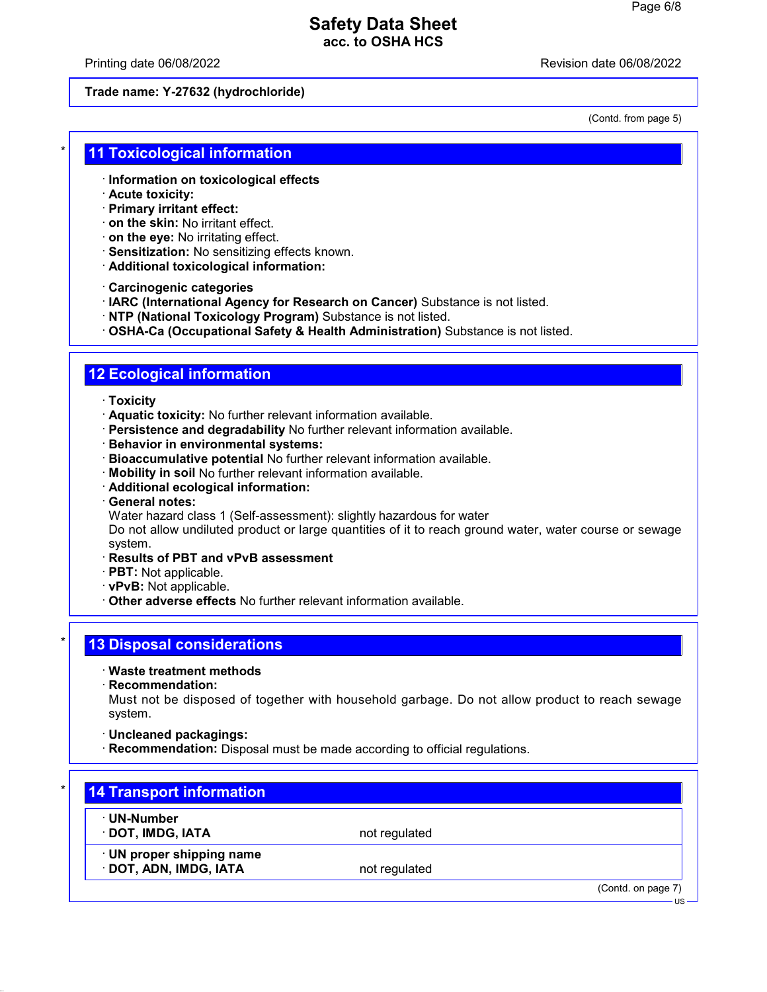Printing date 06/08/2022 Revision date 06/08/2022

#### **Trade name: Y-27632 (hydrochloride)**

(Contd. from page 5)

### **11 Toxicological information**

- · **Information on toxicological effects**
- · **Acute toxicity:**
- · **Primary irritant effect:**
- · **on the skin:** No irritant effect.
- · **on the eye:** No irritating effect.
- · **Sensitization:** No sensitizing effects known.
- · **Additional toxicological information:**

· **Carcinogenic categories**

- · **IARC (International Agency for Research on Cancer)** Substance is not listed.
- · **NTP (National Toxicology Program)** Substance is not listed.

· **OSHA-Ca (Occupational Safety & Health Administration)** Substance is not listed.

## **12 Ecological information**

- · **Toxicity**
- · **Aquatic toxicity:** No further relevant information available.
- · **Persistence and degradability** No further relevant information available.
- · **Behavior in environmental systems:**
- · **Bioaccumulative potential** No further relevant information available.
- · **Mobility in soil** No further relevant information available.
- · **Additional ecological information:**
- · **General notes:**
- Water hazard class 1 (Self-assessment): slightly hazardous for water

Do not allow undiluted product or large quantities of it to reach ground water, water course or sewage system.

- · **Results of PBT and vPvB assessment**
- · **PBT:** Not applicable.
- · **vPvB:** Not applicable.
- · **Other adverse effects** No further relevant information available.

### **13 Disposal considerations**

- · **Waste treatment methods**
- · **Recommendation:**

Must not be disposed of together with household garbage. Do not allow product to reach sewage system.

· **Uncleaned packagings:**

· **Recommendation:** Disposal must be made according to official regulations.

| · UN-Number               |               |  |
|---------------------------|---------------|--|
| · DOT, IMDG, IATA         | not regulated |  |
| · UN proper shipping name |               |  |
| · DOT, ADN, IMDG, IATA    | not regulated |  |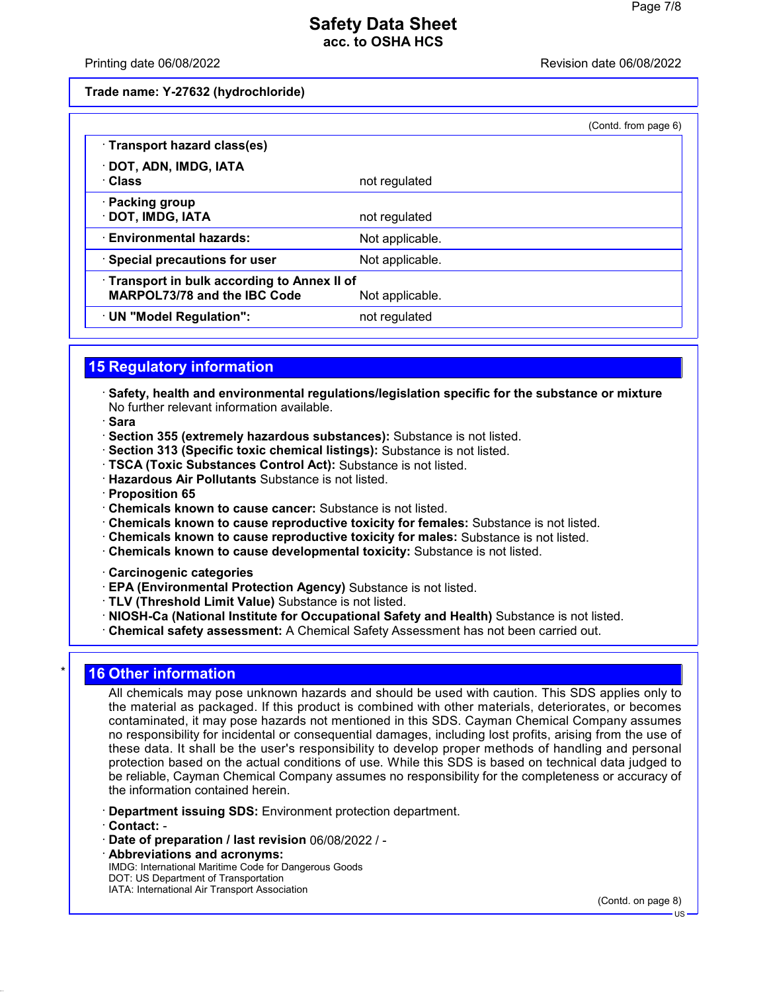#### Printing date 06/08/2022 Revision date 06/08/2022

**Trade name: Y-27632 (hydrochloride)**

|                                                                                   |                 | (Contd. from page 6) |
|-----------------------------------------------------------------------------------|-----------------|----------------------|
| · Transport hazard class(es)                                                      |                 |                      |
| · DOT, ADN, IMDG, IATA<br>· Class                                                 | not regulated   |                      |
| · Packing group<br>· DOT, IMDG, IATA                                              | not regulated   |                      |
| <b>Environmental hazards:</b>                                                     | Not applicable. |                      |
| · Special precautions for user                                                    | Not applicable. |                      |
| Transport in bulk according to Annex II of<br><b>MARPOL73/78 and the IBC Code</b> | Not applicable. |                      |
| · UN "Model Regulation":                                                          | not regulated   |                      |

### **15 Regulatory information**

- · **Safety, health and environmental regulations/legislation specific for the substance or mixture** No further relevant information available.
- · **Sara**
- · **Section 355 (extremely hazardous substances):** Substance is not listed.
- · **Section 313 (Specific toxic chemical listings):** Substance is not listed.
- · **TSCA (Toxic Substances Control Act):** Substance is not listed.
- · **Hazardous Air Pollutants** Substance is not listed.
- · **Proposition 65**
- · **Chemicals known to cause cancer:** Substance is not listed.
- · **Chemicals known to cause reproductive toxicity for females:** Substance is not listed.
- · **Chemicals known to cause reproductive toxicity for males:** Substance is not listed.
- · **Chemicals known to cause developmental toxicity:** Substance is not listed.
- · **Carcinogenic categories**
- · **EPA (Environmental Protection Agency)** Substance is not listed.
- · **TLV (Threshold Limit Value)** Substance is not listed.
- · **NIOSH-Ca (National Institute for Occupational Safety and Health)** Substance is not listed.
- · **Chemical safety assessment:** A Chemical Safety Assessment has not been carried out.

# **16 Other information**

All chemicals may pose unknown hazards and should be used with caution. This SDS applies only to the material as packaged. If this product is combined with other materials, deteriorates, or becomes contaminated, it may pose hazards not mentioned in this SDS. Cayman Chemical Company assumes no responsibility for incidental or consequential damages, including lost profits, arising from the use of these data. It shall be the user's responsibility to develop proper methods of handling and personal protection based on the actual conditions of use. While this SDS is based on technical data judged to be reliable, Cayman Chemical Company assumes no responsibility for the completeness or accuracy of the information contained herein.

- · **Department issuing SDS:** Environment protection department.
- · **Contact:** -
- · **Date of preparation / last revision** 06/08/2022 / -
- · **Abbreviations and acronyms:** IMDG: International Maritime Code for Dangerous Goods DOT: US Department of Transportation IATA: International Air Transport Association

(Contd. on page 8)

US